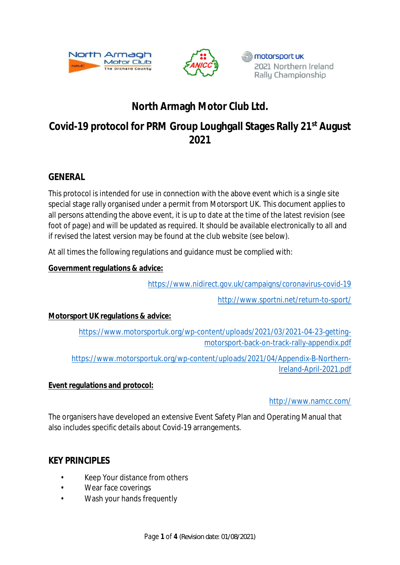



#### **III** motorsport uk 2021 Northern Ireland Rally Championship

# **North Armagh Motor Club Ltd.**

## **Covid-19 protocol for PRM Group Loughgall Stages Rally 21st August 2021**

## **GENERAL**

This protocol is intended for use in connection with the above event which is a single site special stage rally organised under a permit from Motorsport UK. This document applies to all persons attending the above event, it is up to date at the time of the latest revision (see foot of page) and will be updated as required. It should be available electronically to all and if revised the latest version may be found at the club website (see below).

At all times the following regulations and guidance must be complied with:

**Government regulations & advice:**

https://www.nidirect.gov.uk/campaigns/coronavirus-covid-19

http://www.sportni.net/return-to-sport/

**Motorsport UK regulations & advice:**

https://www.motorsportuk.org/wp-content/uploads/2021/03/2021-04-23-gettingmotorsport-back-on-track-rally-appendix.pdf

https://www.motorsportuk.org/wp-content/uploads/2021/04/Appendix-B-Northern-Ireland-April-2021.pdf

**Event regulations and protocol:**

http://www.namcc.com/

The organisers have developed an extensive Event Safety Plan and Operating Manual that also includes specific details about Covid-19 arrangements.

**KEY PRINCIPLES**

- Keep Your distance from others
- Wear face coverings
- Wash your hands frequently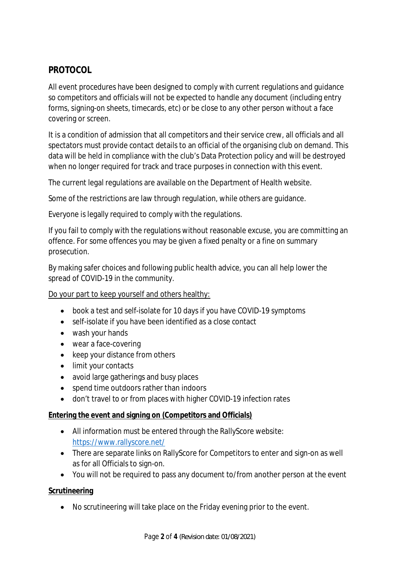## **PROTOCOL**

All event procedures have been designed to comply with current regulations and guidance so competitors and officials will not be expected to handle any document (including entry forms, signing-on sheets, timecards, etc) or be close to any other person without a face covering or screen.

It is a condition of admission that all competitors and their service crew, all officials and all spectators must provide contact details to an official of the organising club on demand. This data will be held in compliance with the club's Data Protection policy and will be destroyed when no longer required for track and trace purposes in connection with this event.

The current legal regulations are available on the Department of Health website.

Some of the restrictions are law through regulation, while others are guidance.

Everyone is legally required to comply with the regulations.

If you fail to comply with the regulations without reasonable excuse, you are committing an offence. For some offences you may be given a fixed penalty or a fine on summary prosecution.

By making safer choices and following public health advice, you can all help lower the spread of COVID-19 in the community.

#### Do your part to keep yourself and others healthy:

- · book a test and self-isolate for 10 days if you have COVID-19 symptoms
- · self-isolate if you have been identified as a close contact
- · wash your hands
- · wear a face-covering
- · keep your distance from others
- · limit your contacts
- · avoid large gatherings and busy places
- · spend time outdoors rather than indoors
- · don't travel to or from places with higher COVID-19 infection rates

#### **Entering the event and signing on (Competitors and Officials)**

- · All information must be entered through the RallyScore website: https://www.rallyscore.net/
- · There are separate links on RallyScore for Competitors to enter and sign-on as well as for all Officials to sign-on.
- · You will not be required to pass any document to/from another person at the event

#### **Scrutineering**

· No scrutineering will take place on the Friday evening prior to the event.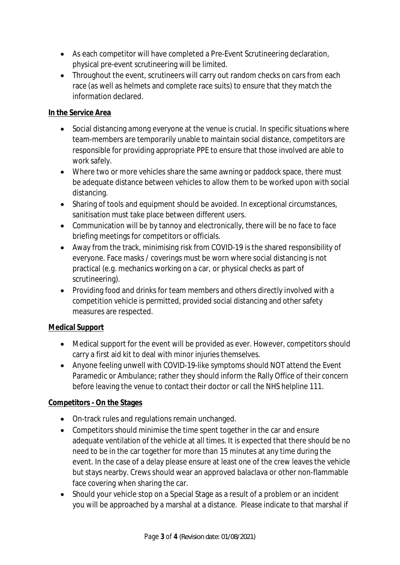- · As each competitor will have completed a Pre-Event Scrutineering declaration, physical pre-event scrutineering will be limited.
- · Throughout the event, scrutineers will carry out random checks on cars from each race (as well as helmets and complete race suits) to ensure that they match the information declared.

### **In the Service Area**

- Social distancing among everyone at the venue is crucial. In specific situations where team-members are temporarily unable to maintain social distance, competitors are responsible for providing appropriate PPE to ensure that those involved are able to work safely.
- Where two or more vehicles share the same awning or paddock space, there must be adequate distance between vehicles to allow them to be worked upon with social distancing.
- · Sharing of tools and equipment should be avoided. In exceptional circumstances, sanitisation must take place between different users.
- · Communication will be by tannoy and electronically, there will be no face to face briefing meetings for competitors or officials.
- · Away from the track, minimising risk from COVID-19 is the shared responsibility of everyone. Face masks / coverings must be worn where social distancing is not practical (e.g. mechanics working on a car, or physical checks as part of scrutineering).
- · Providing food and drinks for team members and others directly involved with a competition vehicle is permitted, provided social distancing and other safety measures are respected.

## **Medical Support**

- · Medical support for the event will be provided as ever. However, competitors should carry a first aid kit to deal with minor injuries themselves.
- · Anyone feeling unwell with COVID-19-like symptoms should NOT attend the Event Paramedic or Ambulance; rather they should inform the Rally Office of their concern before leaving the venue to contact their doctor or call the NHS helpline 111.

## **Competitors - On the Stages**

- · On-track rules and regulations remain unchanged.
- · Competitors should minimise the time spent together in the car and ensure adequate ventilation of the vehicle at all times. It is expected that there should be no need to be in the car together for more than 15 minutes at any time during the event. In the case of a delay please ensure at least one of the crew leaves the vehicle but stays nearby. Crews should wear an approved balaclava or other non-flammable face covering when sharing the car.
- · Should your vehicle stop on a Special Stage as a result of a problem or an incident you will be approached by a marshal at a distance. Please indicate to that marshal if